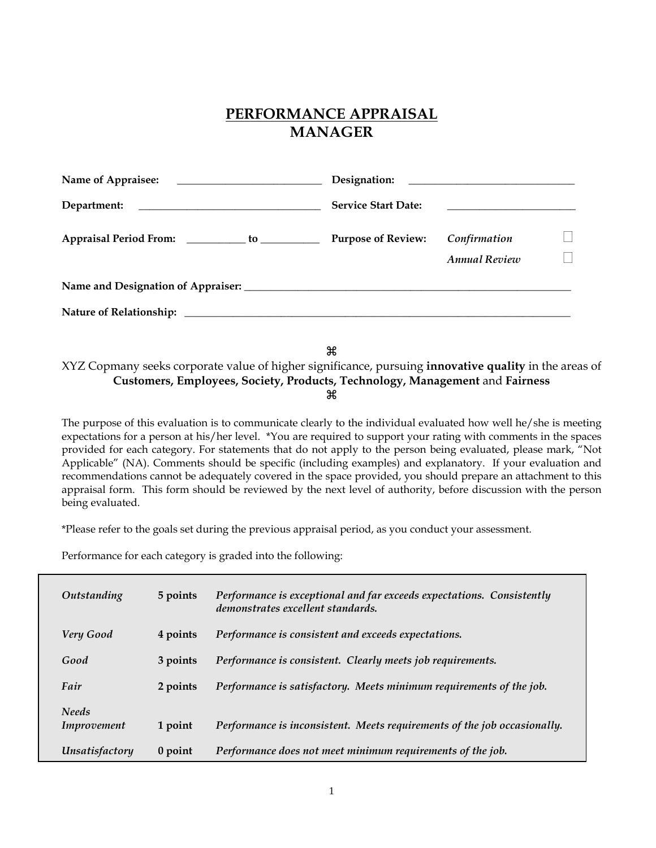# **PERFORMANCE APPRAISAL MANAGER**

| Name of Appraisee:<br><u> 1989 - Andrea Andrew Maria (h. 1989).</u> |                            |                                                        |  |  |  |  |  |  |
|---------------------------------------------------------------------|----------------------------|--------------------------------------------------------|--|--|--|--|--|--|
|                                                                     | <b>Service Start Date:</b> | <u> 1989 - Jan Barnett, fransk politiker (d. 1989)</u> |  |  |  |  |  |  |
| Appraisal Period From: ___________ to ___________                   | <b>Purpose of Review:</b>  | Confirmation                                           |  |  |  |  |  |  |
|                                                                     |                            | <b>Annual Review</b>                                   |  |  |  |  |  |  |
|                                                                     |                            |                                                        |  |  |  |  |  |  |
|                                                                     |                            |                                                        |  |  |  |  |  |  |
|                                                                     |                            |                                                        |  |  |  |  |  |  |

æ

XYZ Copmany seeks corporate value of higher significance, pursuing **innovative quality** in the areas of **Customers, Employees, Society, Products, Technology, Management** and **Fairness**   $\mathbf{H}$ 

The purpose of this evaluation is to communicate clearly to the individual evaluated how well he/she is meeting expectations for a person at his/her level. \*You are required to support your rating with comments in the spaces provided for each category. For statements that do not apply to the person being evaluated, please mark, "Not Applicable" (NA). Comments should be specific (including examples) and explanatory. If your evaluation and recommendations cannot be adequately covered in the space provided, you should prepare an attachment to this appraisal form. This form should be reviewed by the next level of authority, before discussion with the person being evaluated.

\*Please refer to the goals set during the previous appraisal period, as you conduct your assessment.

Performance for each category is graded into the following:

| Outstanding                 | 5 points  | Performance is exceptional and far exceeds expectations. Consistently<br>demonstrates excellent standards. |
|-----------------------------|-----------|------------------------------------------------------------------------------------------------------------|
| Very Good                   | 4 points  | Performance is consistent and exceeds expectations.                                                        |
| Good                        | 3 points  | Performance is consistent. Clearly meets job requirements.                                                 |
| Fair                        | 2 points  | Performance is satisfactory. Meets minimum requirements of the job.                                        |
| <b>Needs</b><br>Improvement | 1 point   | Performance is inconsistent. Meets requirements of the job occasionally.                                   |
| Unsatisfactory              | $0$ point | Performance does not meet minimum requirements of the job.                                                 |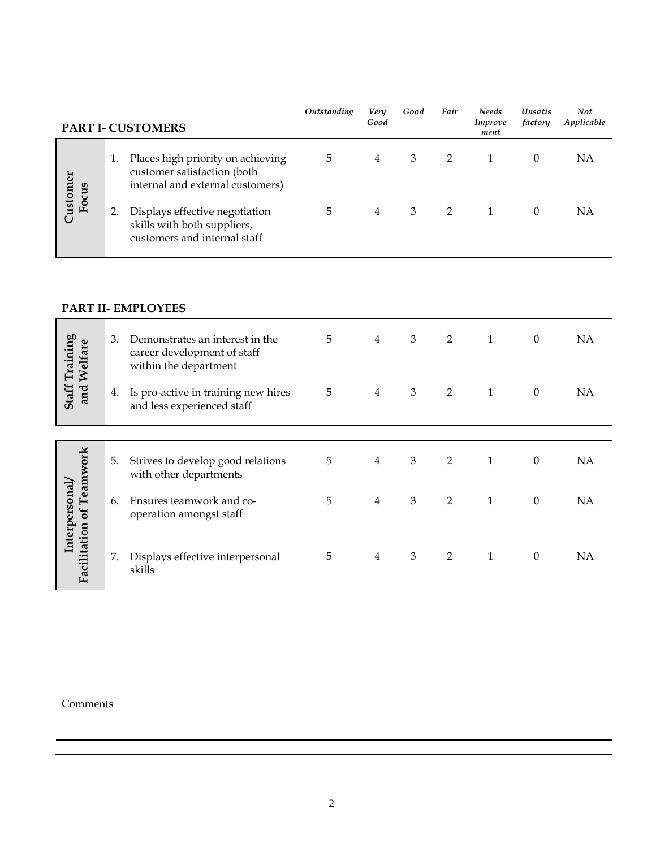|                   | PART I- CUSTOMERS                                                                                    | Outstanding | Very<br>Good   | Good | Fair | <b>Needs</b><br>Improve<br>ment | <b>Unsatis</b><br>factory | Not<br>Applicable |
|-------------------|------------------------------------------------------------------------------------------------------|-------------|----------------|------|------|---------------------------------|---------------------------|-------------------|
| Customer<br>Focus | Places high priority on achieving<br>customer satisfaction (both<br>internal and external customers) | 5           | $\overline{4}$ | 3    |      |                                 | 0                         | NΑ                |
|                   | Displays effective negotiation<br>skills with both suppliers,<br>customers and internal staff        | 5           | 4              | 3    | 2    |                                 | 0                         | NΑ                |

### **PART II- EMPLOYEES**

|                                      | 3. | Demonstrates an interest in the<br>career development of staff<br>within the department | 5 | $\overline{4}$ | $\mathfrak{Z}$ | $\overline{2}$ | $\mathbf{1}$ | $\theta$     | <b>NA</b> |
|--------------------------------------|----|-----------------------------------------------------------------------------------------|---|----------------|----------------|----------------|--------------|--------------|-----------|
| <b>Staff Training</b><br>and Welfare | 4. | Is pro-active in training new hires<br>and less experienced staff                       | 5 | $\overline{4}$ | 3              | $\overline{2}$ | $\mathbf{1}$ | $\theta$     | NA        |
|                                      |    |                                                                                         |   |                |                |                |              |              |           |
| Teamwork                             | 5. | Strives to develop good relations<br>with other departments                             | 5 | $\overline{4}$ | $\mathfrak{Z}$ | $\overline{2}$ | $\mathbf{1}$ | $\theta$     | <b>NA</b> |
| Interpersonal<br>$\mathfrak{b}$      | 6. | Ensures teamwork and co-<br>operation amongst staff                                     | 5 | $\overline{4}$ | 3              | $\overline{2}$ | $\mathbf{1}$ | $\mathbf{0}$ | <b>NA</b> |
| Facilitation                         | 7. | Displays effective interpersonal<br>skills                                              | 5 | $\overline{4}$ | 3              | $\overline{2}$ | $\mathbf{1}$ | $\theta$     | NA        |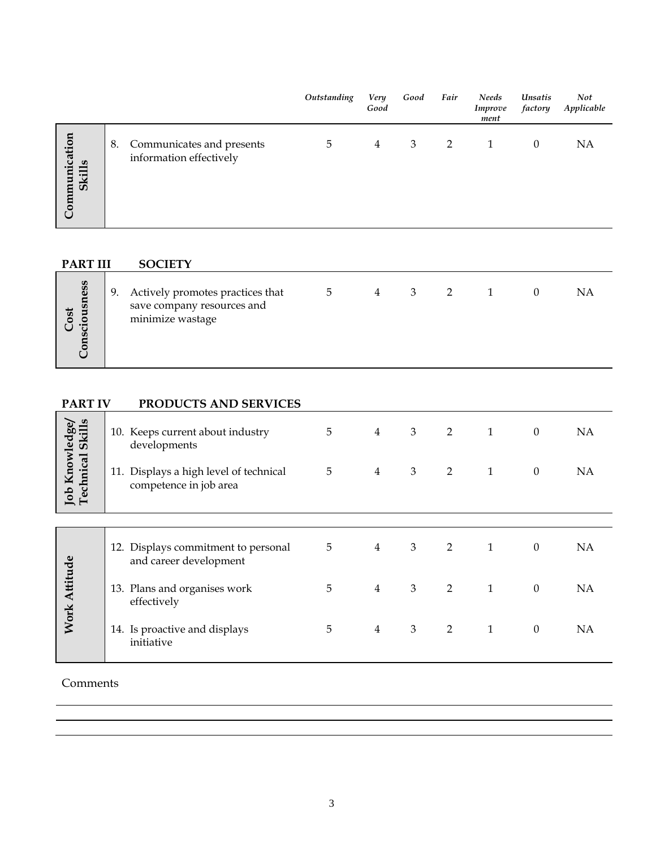| Communication<br>Communicates and presents<br>NA<br>8.<br>3<br>5<br>2<br>$\theta$<br>4<br>1<br>information effectively<br><b>Skills</b> |  |
|-----------------------------------------------------------------------------------------------------------------------------------------|--|

# **PART III SOCIETY**

| Cost<br>sciousness<br>U.<br>O |  | 9. Actively promotes practices that<br>save company resources and<br>minimize wastage | ٠h |  | 3. |  |  |  |  |
|-------------------------------|--|---------------------------------------------------------------------------------------|----|--|----|--|--|--|--|
|-------------------------------|--|---------------------------------------------------------------------------------------|----|--|----|--|--|--|--|

# **PART IV PRODUCTS AND SERVICES**

|                                   | 10. Keeps current about industry<br>developments                 | 5 | $\overline{4}$ | 3              | $\overline{2}$ | $\mathbf{1}$ | $\boldsymbol{0}$ | NA        |
|-----------------------------------|------------------------------------------------------------------|---|----------------|----------------|----------------|--------------|------------------|-----------|
| Job Knowledge<br>Technical Skills | 11. Displays a high level of technical<br>competence in job area | 5 | $\overline{4}$ | 3              | 2              | $\mathbf{1}$ | $\boldsymbol{0}$ | <b>NA</b> |
|                                   |                                                                  |   |                |                |                |              |                  |           |
|                                   | 12. Displays commitment to personal<br>and career development    | 5 | $\overline{4}$ | 3              | $\overline{2}$ | $\mathbf{1}$ | $\mathbf{0}$     | <b>NA</b> |
| <b>Work Attitude</b>              | 13. Plans and organises work<br>effectively                      | 5 | $\overline{4}$ | $\mathfrak{Z}$ | 2              | $\mathbf{1}$ | $\mathbf{0}$     | <b>NA</b> |
|                                   | 14. Is proactive and displays<br>initiative                      | 5 | $\overline{4}$ | 3              | $\overline{2}$ | $\mathbf{1}$ | $\mathbf{0}$     | <b>NA</b> |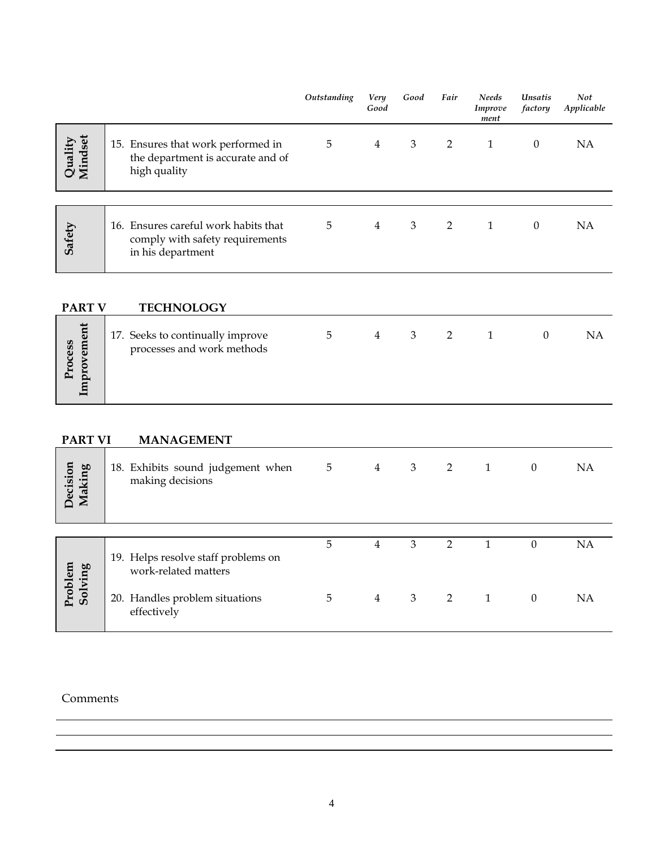|                    |                                                                                              | Outstanding | Very<br>Good   | Good | Fair | <b>Needs</b><br>Improve<br>ment | <b>Unsatis</b><br>factory | <b>Not</b><br>Applicable |
|--------------------|----------------------------------------------------------------------------------------------|-------------|----------------|------|------|---------------------------------|---------------------------|--------------------------|
| Quality<br>Mindset | 15. Ensures that work performed in<br>the department is accurate and of<br>high quality      | 5           | $\overline{4}$ | 3    | 2    | 1                               | $\theta$                  | ΝA                       |
|                    |                                                                                              |             |                |      |      |                                 |                           |                          |
| Safety             | 16. Ensures careful work habits that<br>comply with safety requirements<br>in his department | 5           | $\overline{4}$ | 3    | 2    | 1                               | $\theta$                  | ΝA                       |

**PART V TECHNOLOGY** 

# **PART VI** MANAGEMENT

| Decision<br>Making | 18. Exhibits sound judgement when<br>making decisions       | $5\overline{)}$ | $\overline{4}$ | 3 <sup>7</sup>          | 2 1            |                | $\theta$ | <b>NA</b> |
|--------------------|-------------------------------------------------------------|-----------------|----------------|-------------------------|----------------|----------------|----------|-----------|
|                    | 19. Helps resolve staff problems on<br>work-related matters | 5               | 4              | 3                       | $\overline{2}$ | $\overline{1}$ | $\Omega$ | <b>NA</b> |
| Problem<br>Solving | 20. Handles problem situations<br>effectively               | 5               | $\overline{4}$ | $\overline{\mathbf{3}}$ | 2 1            |                | $\theta$ | NA        |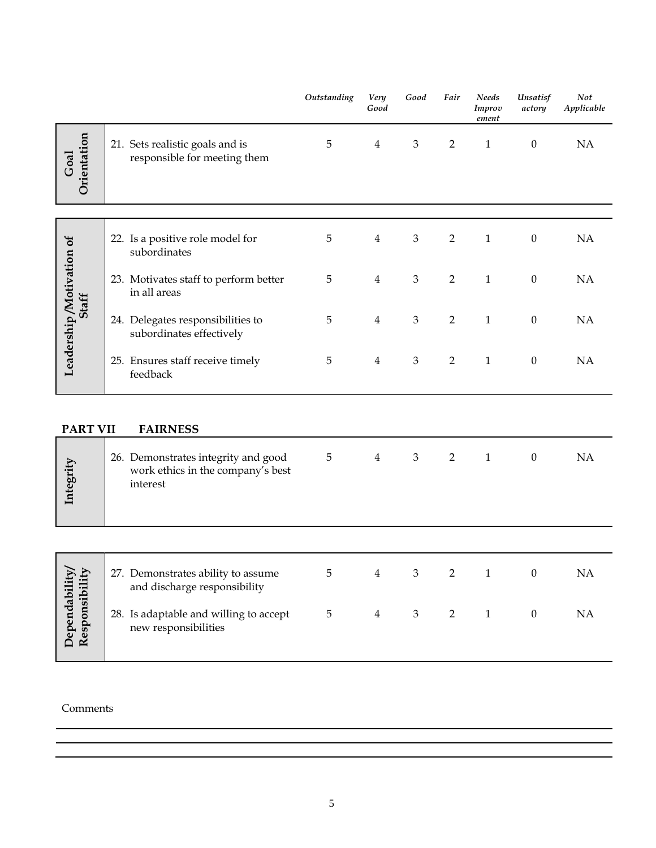|                                   |                 |                                                                                      | Outstanding | Very<br>Good   | Good                        | Fair           | <b>Needs</b><br>Improv<br>ement | Unsatisf<br>actory | Not<br>Applicable |
|-----------------------------------|-----------------|--------------------------------------------------------------------------------------|-------------|----------------|-----------------------------|----------------|---------------------------------|--------------------|-------------------|
| Goal                              | Orientation     | 21. Sets realistic goals and is<br>responsible for meeting them                      | 5           | $\overline{4}$ | $\ensuremath{\mathfrak{Z}}$ | $\overline{2}$ | $\mathbf{1}$                    | $\boldsymbol{0}$   | NA                |
|                                   |                 |                                                                                      |             |                |                             |                |                                 |                    |                   |
| Leadership/Motivation of<br>Staff |                 | 22. Is a positive role model for<br>subordinates                                     | 5           | $\overline{4}$ | $\mathfrak{Z}$              | $\overline{2}$ | $\mathbf{1}$                    | $\boldsymbol{0}$   | <b>NA</b>         |
|                                   |                 | 23. Motivates staff to perform better<br>in all areas                                | 5           | $\overline{4}$ | $\,3$                       | $\overline{2}$ | $\mathbf{1}$                    | $\boldsymbol{0}$   | NA                |
|                                   |                 | 24. Delegates responsibilities to<br>subordinates effectively                        | 5           | $\overline{4}$ | 3                           | $\overline{2}$ | $\mathbf{1}$                    | $\boldsymbol{0}$   | <b>NA</b>         |
|                                   |                 | 25. Ensures staff receive timely<br>feedback                                         | 5           | $\overline{4}$ | 3                           | $\overline{2}$ | $\mathbf{1}$                    | $\theta$           | <b>NA</b>         |
|                                   |                 |                                                                                      |             |                |                             |                |                                 |                    |                   |
|                                   | <b>PART VII</b> | <b>FAIRNESS</b>                                                                      |             |                |                             |                |                                 |                    |                   |
| Integrity                         |                 | 26. Demonstrates integrity and good<br>work ethics in the company's best<br>interest | 5           | $\overline{4}$ | $\ensuremath{\mathfrak{Z}}$ | $\overline{2}$ | $\mathbf{1}$                    | $\boldsymbol{0}$   | NA                |

| ability/<br>ibility     | 27. Demonstrates ability to assume<br>and discharge responsibility | $\mathbf b$ | 4 | 3 |  | NA |
|-------------------------|--------------------------------------------------------------------|-------------|---|---|--|----|
| Dependabi<br>Responsibi | 28. Is adaptable and willing to accept<br>new responsibilities     | 5           | 4 | 3 |  | NA |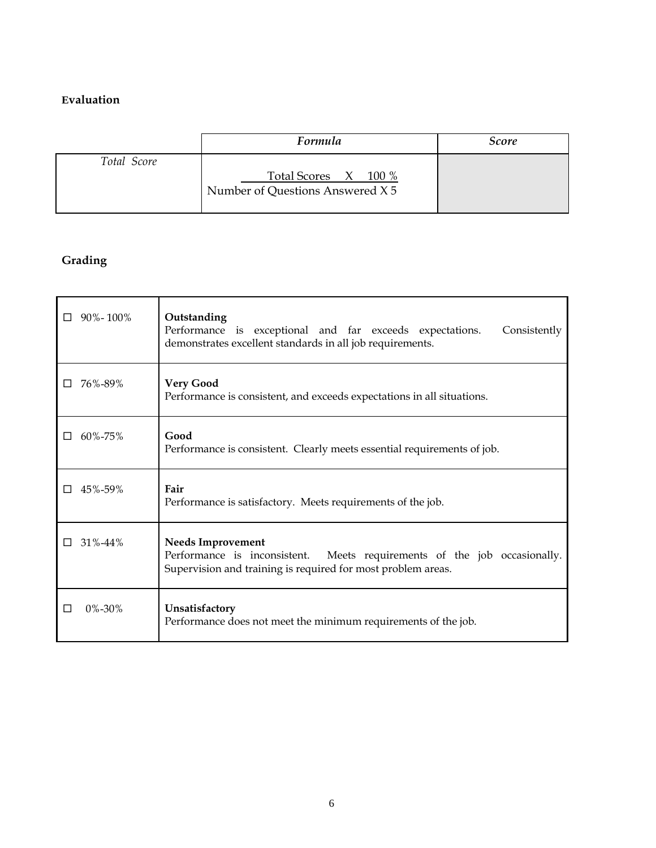## **Evaluation**

|             | Formula                                                  | <i>Score</i> |
|-------------|----------------------------------------------------------|--------------|
| Total Score | Total Scores X 100 %<br>Number of Questions Answered X 5 |              |

# **Grading**

| $90\% - 100\%$<br>П | Outstanding<br>Performance is exceptional and far exceeds expectations.<br>Consistently<br>demonstrates excellent standards in all job requirements.                    |
|---------------------|-------------------------------------------------------------------------------------------------------------------------------------------------------------------------|
| 76%-89%             | <b>Very Good</b><br>Performance is consistent, and exceeds expectations in all situations.                                                                              |
| $60\% - 75\%$<br>ΙI | Good<br>Performance is consistent. Clearly meets essential requirements of job.                                                                                         |
| 45%-59%<br>ΙI       | Fair<br>Performance is satisfactory. Meets requirements of the job.                                                                                                     |
| $31\% - 44\%$       | <b>Needs Improvement</b><br>Performance is inconsistent.<br>Meets requirements of the job occasionally.<br>Supervision and training is required for most problem areas. |
| 0%-30%              | Unsatisfactory<br>Performance does not meet the minimum requirements of the job.                                                                                        |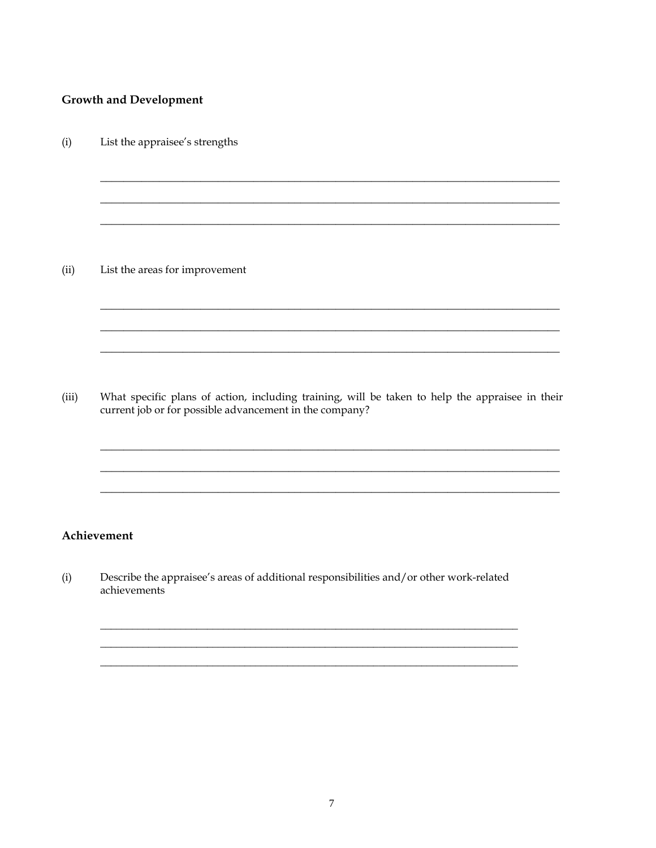### **Growth and Development**

 $(i)$ List the appraisee's strengths

 $(ii)$ List the areas for improvement

 $(iii)$ What specific plans of action, including training, will be taken to help the appraisee in their current job or for possible advancement in the company?

<u> 1989 - Johann Stoff, amerikansk politiker (d. 1989)</u>

### Achievement

 $(i)$ Describe the appraisee's areas of additional responsibilities and/or other work-related achievements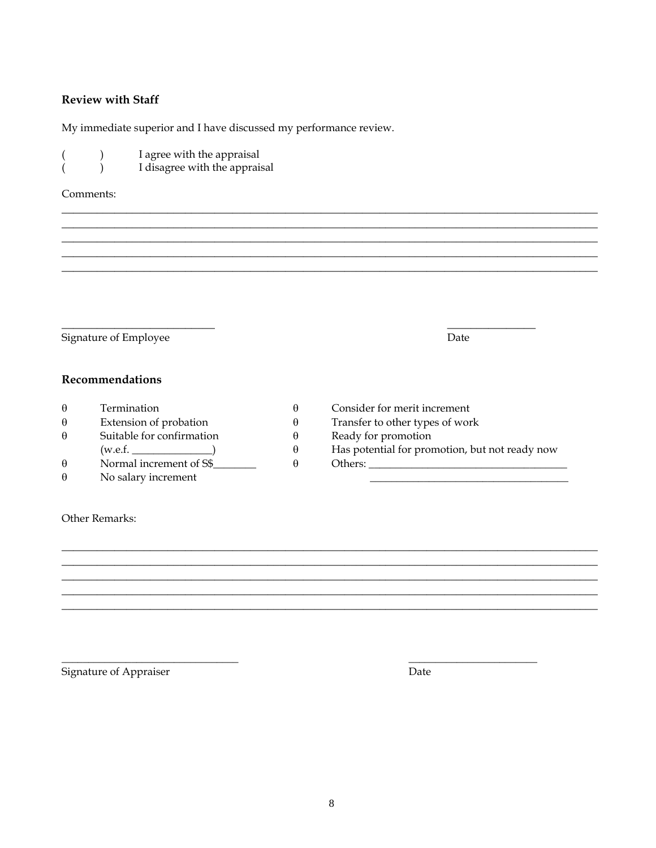### **Review with Staff**

My immediate superior and I have discussed my performance review.

- I agree with the appraisal  $\mathcal{L}$  $\left($ 
	- I disagree with the appraisal  $\lambda$

#### Comments:

 $\overline{(\ }$ 

Signature of Employee

Date

### Recommendations

| $\theta$ | Termination               |  |
|----------|---------------------------|--|
| $\theta$ | Extension of probation    |  |
|          | Suitable for confirmation |  |
|          | (w.e.f.                   |  |
| $\theta$ | Normal increment of S\$   |  |
|          | No salary increment       |  |

- Consider for merit increment
- Transfer to other types of work
- Ready for promotion
- Has potential for promotion, but not ready now

 $\theta$ 

 $\theta$ 

 $\theta$ 

 $\theta$ 

 $\theta$ 

Other Remarks:

Signature of Appraiser

Date